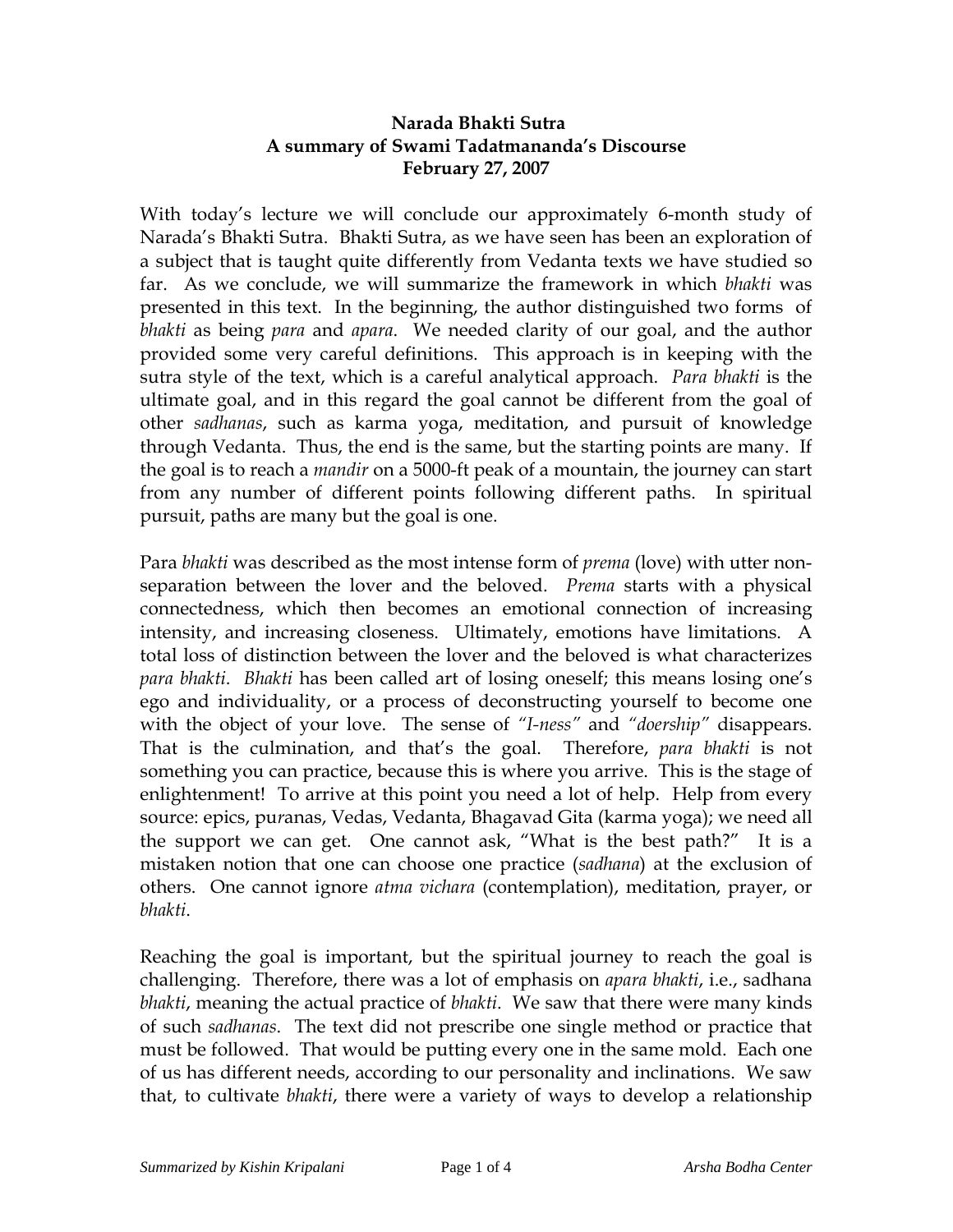## **Narada Bhakti Sutra A summary of Swami Tadatmananda's Discourse February 27, 2007**

With today's lecture we will conclude our approximately 6-month study of Narada's Bhakti Sutra. Bhakti Sutra, as we have seen has been an exploration of a subject that is taught quite differently from Vedanta texts we have studied so far. As we conclude, we will summarize the framework in which *bhakti* was presented in this text. In the beginning, the author distinguished two forms of *bhakti* as being *para* and *apara*. We needed clarity of our goal, and the author provided some very careful definitions. This approach is in keeping with the sutra style of the text, which is a careful analytical approach. *Para bhakti* is the ultimate goal, and in this regard the goal cannot be different from the goal of other *sadhanas*, such as karma yoga, meditation, and pursuit of knowledge through Vedanta. Thus, the end is the same, but the starting points are many. If the goal is to reach a *mandir* on a 5000-ft peak of a mountain, the journey can start from any number of different points following different paths. In spiritual pursuit, paths are many but the goal is one.

Para *bhakti* was described as the most intense form of *prema* (love) with utter nonseparation between the lover and the beloved. *Prema* starts with a physical connectedness, which then becomes an emotional connection of increasing intensity, and increasing closeness. Ultimately, emotions have limitations. A total loss of distinction between the lover and the beloved is what characterizes *para bhakti*. *Bhakti* has been called art of losing oneself; this means losing one's ego and individuality, or a process of deconstructing yourself to become one with the object of your love. The sense of *"I-ness"* and *"doership"* disappears. That is the culmination, and that's the goal. Therefore, *para bhakti* is not something you can practice, because this is where you arrive. This is the stage of enlightenment! To arrive at this point you need a lot of help. Help from every source: epics, pu*r*anas, Vedas, Vedanta, Bhagavad Gita (karma yoga); we need all the support we can get. One cannot ask, "What is the best path?" It is a mistaken notion that one can choose one practice (*sadhana*) at the exclusion of others. One cannot ignore *atma vichara* (contemplation), meditation, prayer, or *bhakti*.

Reaching the goal is important, but the spiritual journey to reach the goal is challenging. Therefore, there was a lot of emphasis on *apara bhakti*, i.e., sadhana *bhakti*, meaning the actual practice of *bhakti*. We saw that there were many kinds of such *sadhanas*. The text did not prescribe one single method or practice that must be followed. That would be putting every one in the same mold. Each one of us has different needs, according to our personality and inclinations. We saw that, to cultivate *bhakti*, there were a variety of ways to develop a relationship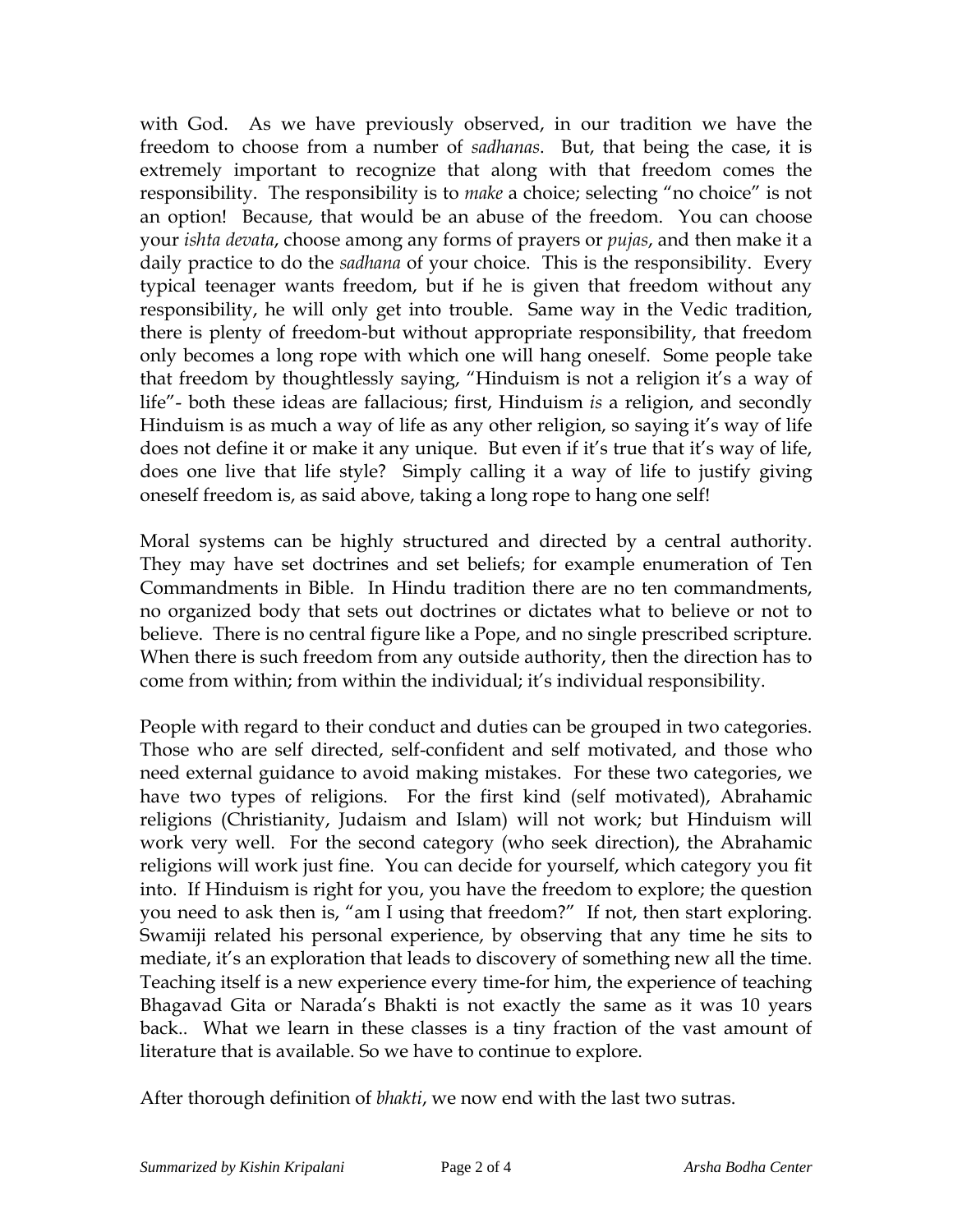with God. As we have previously observed, in our tradition we have the freedom to choose from a number of *sadhanas*. But, that being the case, it is extremely important to recognize that along with that freedom comes the responsibility. The responsibility is to *make* a choice; selecting "no choice" is not an option! Because, that would be an abuse of the freedom. You can choose your *ishta devata*, choose among any forms of prayers or *pujas*, and then make it a daily practice to do the *sadhana* of your choice. This is the responsibility. Every typical teenager wants freedom, but if he is given that freedom without any responsibility, he will only get into trouble. Same way in the Vedic tradition, there is plenty of freedom-but without appropriate responsibility, that freedom only becomes a long rope with which one will hang oneself. Some people take that freedom by thoughtlessly saying, "Hinduism is not a religion it's a way of life"- both these ideas are fallacious; first, Hinduism *is* a religion, and secondly Hinduism is as much a way of life as any other religion, so saying it's way of life does not define it or make it any unique. But even if it's true that it's way of life, does one live that life style? Simply calling it a way of life to justify giving oneself freedom is, as said above, taking a long rope to hang one self!

Moral systems can be highly structured and directed by a central authority. They may have set doctrines and set beliefs; for example enumeration of Ten Commandments in Bible. In Hindu tradition there are no ten commandments, no organized body that sets out doctrines or dictates what to believe or not to believe. There is no central figure like a Pope, and no single prescribed scripture. When there is such freedom from any outside authority, then the direction has to come from within; from within the individual; it's individual responsibility.

People with regard to their conduct and duties can be grouped in two categories. Those who are self directed, self-confident and self motivated, and those who need external guidance to avoid making mistakes. For these two categories, we have two types of religions. For the first kind (self motivated), Abrahamic religions (Christianity, Judaism and Islam) will not work; but Hinduism will work very well. For the second category (who seek direction), the Abrahamic religions will work just fine. You can decide for yourself, which category you fit into. If Hinduism is right for you, you have the freedom to explore; the question you need to ask then is, "am I using that freedom?" If not, then start exploring. Swamiji related his personal experience, by observing that any time he sits to mediate, it's an exploration that leads to discovery of something new all the time. Teaching itself is a new experience every time-for him, the experience of teaching Bhagavad Gita or Narada's Bhakti is not exactly the same as it was 10 years back.. What we learn in these classes is a tiny fraction of the vast amount of literature that is available. So we have to continue to explore.

After thorough definition of *bhakti*, we now end with the last two sutras.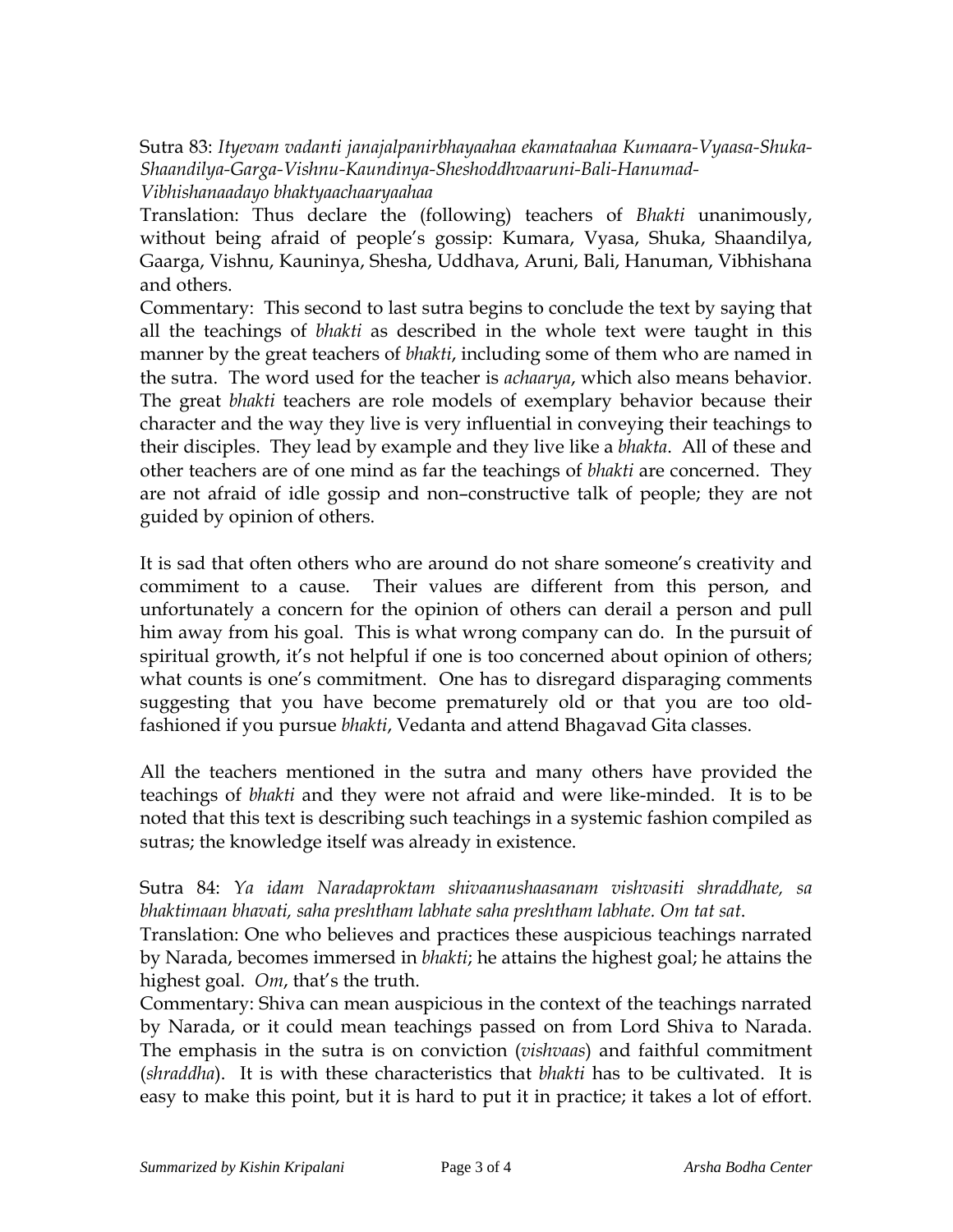Sutra 83: *Ityevam vadanti janajalpanirbhayaahaa ekamataahaa Kumaara-Vyaasa-Shuka-Shaandilya-Garga-Vishnu-Kaundinya-Sheshoddhvaaruni-Bali-Hanumad-Vibhishanaadayo bhaktyaachaaryaahaa*

Translation: Thus declare the (following) teachers of *Bhakti* unanimously, without being afraid of people's gossip: Kumara, Vyasa, Shuka, Shaandilya, Gaarga, Vishnu, Kauninya, Shesha, Uddhava, Aruni, Bali, Hanuman, Vibhishana and others.

Commentary: This second to last sutra begins to conclude the text by saying that all the teachings of *bhakti* as described in the whole text were taught in this manner by the great teachers of *bhakti*, including some of them who are named in the sutra. The word used for the teacher is *achaarya*, which also means behavior. The great *bhakti* teachers are role models of exemplary behavior because their character and the way they live is very influential in conveying their teachings to their disciples. They lead by example and they live like a *bhakta*. All of these and other teachers are of one mind as far the teachings of *bhakti* are concerned. They are not afraid of idle gossip and non–constructive talk of people; they are not guided by opinion of others.

It is sad that often others who are around do not share someone's creativity and commiment to a cause. Their values are different from this person, and unfortunately a concern for the opinion of others can derail a person and pull him away from his goal. This is what wrong company can do. In the pursuit of spiritual growth, it's not helpful if one is too concerned about opinion of others; what counts is one's commitment. One has to disregard disparaging comments suggesting that you have become prematurely old or that you are too oldfashioned if you pursue *bhakti*, Vedanta and attend Bhagavad Gita classes.

All the teachers mentioned in the sutra and many others have provided the teachings of *bhakti* and they were not afraid and were like-minded. It is to be noted that this text is describing such teachings in a systemic fashion compiled as sutras; the knowledge itself was already in existence.

Sutra 84: *Ya idam Naradaproktam shivaanushaasanam vishvasiti shraddhate, sa bhaktimaan bhavati, saha preshtham labhate saha preshtham labhate. Om tat sat*.

Translation: One who believes and practices these auspicious teachings narrated by Narada, becomes immersed in *bhakti*; he attains the highest goal; he attains the highest goal. *Om*, that's the truth.

Commentary: Shiva can mean auspicious in the context of the teachings narrated by Narada, or it could mean teachings passed on from Lord Shiva to Narada. The emphasis in the sutra is on conviction (*vishvaas*) and faithful commitment (*shraddha*). It is with these characteristics that *bhakti* has to be cultivated. It is easy to make this point, but it is hard to put it in practice; it takes a lot of effort.